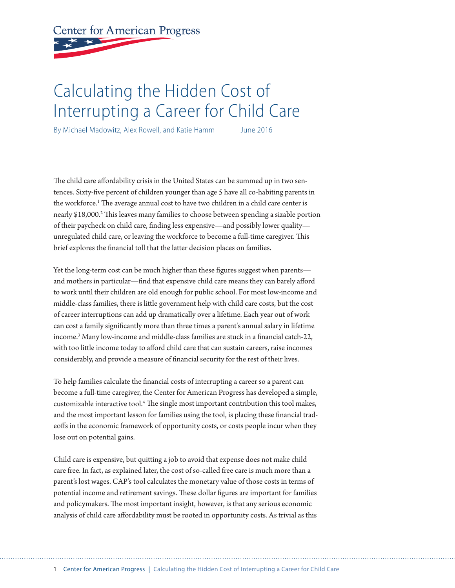**Center for American Progress** 

# Calculating the Hidden Cost of Interrupting a Career for Child Care

By Michael Madowitz, Alex Rowell, and Katie Hamm June 2016

The child care affordability crisis in the United States can be summed up in two sentences. Sixty-five percent of children younger than age 5 have all co-habiting parents in the workforce.<sup>1</sup> The average annual cost to have two children in a child care center is nearly \$18,000.<sup>2</sup> This leaves many families to choose between spending a sizable portion of their paycheck on child care, finding less expensive—and possibly lower quality unregulated child care, or leaving the workforce to become a full-time caregiver. This brief explores the financial toll that the latter decision places on families.

Yet the long-term cost can be much higher than these figures suggest when parents and mothers in particular—find that expensive child care means they can barely afford to work until their children are old enough for public school. For most low-income and middle-class families, there is little government help with child care costs, but the cost of career interruptions can add up dramatically over a lifetime. Each year out of work can cost a family significantly more than three times a parent's annual salary in lifetime income.3 Many low-income and middle-class families are stuck in a financial catch-22, with too little income today to afford child care that can sustain careers, raise incomes considerably, and provide a measure of financial security for the rest of their lives.

To help families calculate the financial costs of interrupting a career so a parent can become a full-time caregiver, the Center for American Progress has developed a simple, customizable interactive tool.<sup>4</sup> The single most important contribution this tool makes, and the most important lesson for families using the tool, is placing these financial tradeoffs in the economic framework of opportunity costs, or costs people incur when they lose out on potential gains.

Child care is expensive, but quitting a job to avoid that expense does not make child care free. In fact, as explained later, the cost of so-called free care is much more than a parent's lost wages. CAP's tool calculates the monetary value of those costs in terms of potential income and retirement savings. These dollar figures are important for families and policymakers. The most important insight, however, is that any serious economic analysis of child care affordability must be rooted in opportunity costs. As trivial as this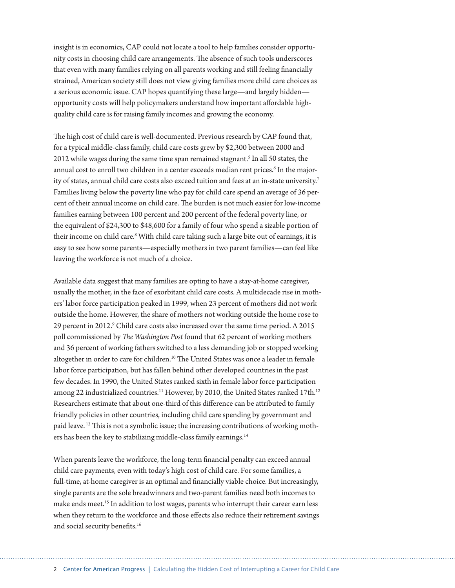insight is in economics, CAP could not locate a tool to help families consider opportunity costs in choosing child care arrangements. The absence of such tools underscores that even with many families relying on all parents working and still feeling financially strained, American society still does not view giving families more child care choices as a serious economic issue. CAP hopes quantifying these large—and largely hidden opportunity costs will help policymakers understand how important affordable highquality child care is for raising family incomes and growing the economy.

The high cost of child care is well-documented. Previous research by CAP found that, for a typical middle-class family, child care costs grew by \$2,300 between 2000 and 2012 while wages during the same time span remained stagnant.<sup>5</sup> In all 50 states, the annual cost to enroll two children in a center exceeds median rent prices. $^6$  In the majority of states, annual child care costs also exceed tuition and fees at an in-state university.7 Families living below the poverty line who pay for child care spend an average of 36 percent of their annual income on child care. The burden is not much easier for low-income families earning between 100 percent and 200 percent of the federal poverty line, or the equivalent of \$24,300 to \$48,600 for a family of four who spend a sizable portion of their income on child care.<sup>8</sup> With child care taking such a large bite out of earnings, it is easy to see how some parents—especially mothers in two parent families—can feel like leaving the workforce is not much of a choice.

Available data suggest that many families are opting to have a stay-at-home caregiver, usually the mother, in the face of exorbitant child care costs. A multidecade rise in mothers' labor force participation peaked in 1999, when 23 percent of mothers did not work outside the home. However, the share of mothers not working outside the home rose to 29 percent in 2012.<sup>9</sup> Child care costs also increased over the same time period. A 2015 poll commissioned by *The Washington Post* found that 62 percent of working mothers and 36 percent of working fathers switched to a less demanding job or stopped working altogether in order to care for children.<sup>10</sup> The United States was once a leader in female labor force participation, but has fallen behind other developed countries in the past few decades. In 1990, the United States ranked sixth in female labor force participation among 22 industrialized countries.<sup>11</sup> However, by 2010, the United States ranked 17th.<sup>12</sup> Researchers estimate that about one-third of this difference can be attributed to family friendly policies in other countries, including child care spending by government and paid leave. 13 This is not a symbolic issue; the increasing contributions of working mothers has been the key to stabilizing middle-class family earnings.<sup>14</sup>

When parents leave the workforce, the long-term financial penalty can exceed annual child care payments, even with today's high cost of child care. For some families, a full-time, at-home caregiver is an optimal and financially viable choice. But increasingly, single parents are the sole breadwinners and two-parent families need both incomes to make ends meet.15 In addition to lost wages, parents who interrupt their career earn less when they return to the workforce and those effects also reduce their retirement savings and social security benefits.<sup>16</sup>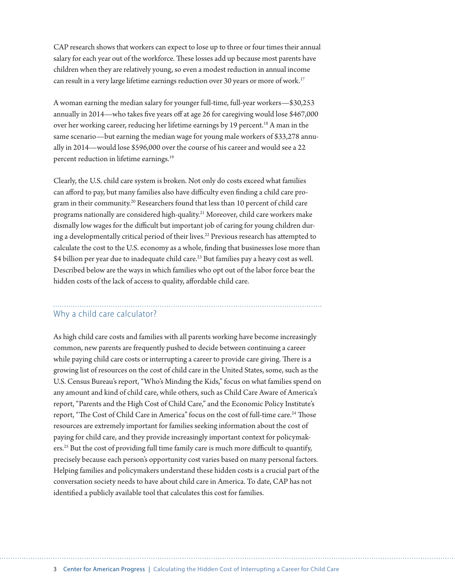CAP research shows that workers can expect to lose up to three or four times their annual salary for each year out of the workforce. These losses add up because most parents have children when they are relatively young, so even a modest reduction in annual income can result in a very large lifetime earnings reduction over 30 years or more of work.<sup>17</sup>

A woman earning the median salary for younger full-time, full-year workers—\$30,253 annually in 2014—who takes five years off at age 26 for caregiving would lose \$467,000 over her working career, reducing her lifetime earnings by 19 percent.<sup>18</sup> A man in the same scenario—but earning the median wage for young male workers of \$33,278 annually in 2014—would lose \$596,000 over the course of his career and would see a 22 percent reduction in lifetime earnings.<sup>19</sup>

Clearly, the U.S. child care system is broken. Not only do costs exceed what families can afford to pay, but many families also have difficulty even finding a child care program in their community.20 Researchers found that less than 10 percent of child care programs nationally are considered high-quality.21 Moreover, child care workers make dismally low wages for the difficult but important job of caring for young children during a developmentally critical period of their lives.<sup>22</sup> Previous research has attempted to calculate the cost to the U.S. economy as a whole, finding that businesses lose more than \$4 billion per year due to inadequate child care.<sup>23</sup> But families pay a heavy cost as well. Described below are the ways in which families who opt out of the labor force bear the hidden costs of the lack of access to quality, affordable child care.

## Why a child care calculator?

As high child care costs and families with all parents working have become increasingly common, new parents are frequently pushed to decide between continuing a career while paying child care costs or interrupting a career to provide care giving. There is a growing list of resources on the cost of child care in the United States, some, such as the U.S. Census Bureau's report, "Who's Minding the Kids," focus on what families spend on any amount and kind of child care, while others, such as Child Care Aware of America's report, "Parents and the High Cost of Child Care," and the Economic Policy Institute's report, "The Cost of Child Care in America" focus on the cost of full-time care.<sup>24</sup> Those resources are extremely important for families seeking information about the cost of paying for child care, and they provide increasingly important context for policymakers.25 But the cost of providing full time family care is much more difficult to quantify, precisely because each person's opportunity cost varies based on many personal factors. Helping families and policymakers understand these hidden costs is a crucial part of the conversation society needs to have about child care in America. To date, CAP has not identified a publicly available tool that calculates this cost for families.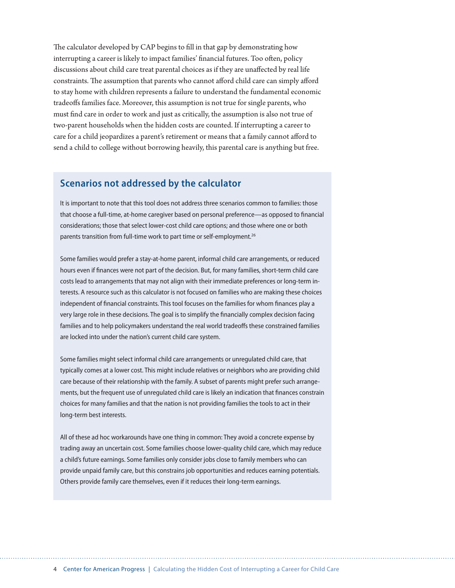The calculator developed by CAP begins to fill in that gap by demonstrating how interrupting a career is likely to impact families' financial futures. Too often, policy discussions about child care treat parental choices as if they are unaffected by real life constraints. The assumption that parents who cannot afford child care can simply afford to stay home with children represents a failure to understand the fundamental economic tradeoffs families face. Moreover, this assumption is not true for single parents, who must find care in order to work and just as critically, the assumption is also not true of two-parent households when the hidden costs are counted. If interrupting a career to care for a child jeopardizes a parent's retirement or means that a family cannot afford to send a child to college without borrowing heavily, this parental care is anything but free.

## **Scenarios not addressed by the calculator**

It is important to note that this tool does not address three scenarios common to families: those that choose a full-time, at-home caregiver based on personal preference—as opposed to financial considerations; those that select lower-cost child care options; and those where one or both parents transition from full-time work to part time or self-employment.<sup>26</sup>

Some families would prefer a stay-at-home parent, informal child care arrangements, or reduced hours even if finances were not part of the decision. But, for many families, short-term child care costs lead to arrangements that may not align with their immediate preferences or long-term interests. A resource such as this calculator is not focused on families who are making these choices independent of financial constraints. This tool focuses on the families for whom finances play a very large role in these decisions. The goal is to simplify the financially complex decision facing families and to help policymakers understand the real world tradeoffs these constrained families are locked into under the nation's current child care system.

Some families might select informal child care arrangements or unregulated child care, that typically comes at a lower cost. This might include relatives or neighbors who are providing child care because of their relationship with the family. A subset of parents might prefer such arrangements, but the frequent use of unregulated child care is likely an indication that finances constrain choices for many families and that the nation is not providing families the tools to act in their long-term best interests.

All of these ad hoc workarounds have one thing in common: They avoid a concrete expense by trading away an uncertain cost. Some families choose lower-quality child care, which may reduce a child's future earnings. Some families only consider jobs close to family members who can provide unpaid family care, but this constrains job opportunities and reduces earning potentials. Others provide family care themselves, even if it reduces their long-term earnings.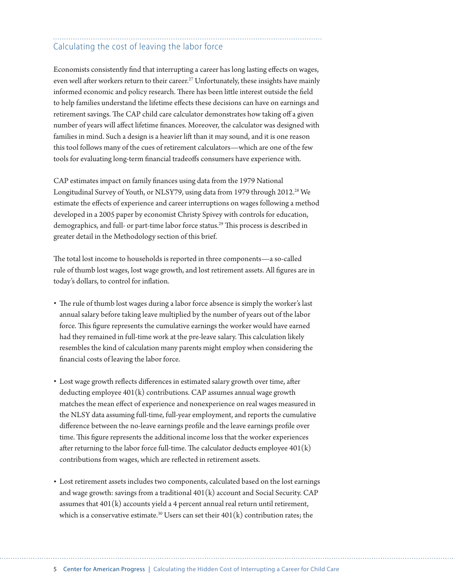## Calculating the cost of leaving the labor force

Economists consistently find that interrupting a career has long lasting effects on wages, even well after workers return to their career.<sup>27</sup> Unfortunately, these insights have mainly informed economic and policy research. There has been little interest outside the field to help families understand the lifetime effects these decisions can have on earnings and retirement savings. The CAP child care calculator demonstrates how taking off a given number of years will affect lifetime finances. Moreover, the calculator was designed with families in mind. Such a design is a heavier lift than it may sound, and it is one reason this tool follows many of the cues of retirement calculators—which are one of the few tools for evaluating long-term financial tradeoffs consumers have experience with.

CAP estimates impact on family finances using data from the 1979 National Longitudinal Survey of Youth, or NLSY79, using data from 1979 through 2012.<sup>28</sup> We estimate the effects of experience and career interruptions on wages following a method developed in a 2005 paper by economist Christy Spivey with controls for education, demographics, and full- or part-time labor force status.<sup>29</sup> This process is described in greater detail in the Methodology section of this brief.

The total lost income to households is reported in three components—a so-called rule of thumb lost wages, lost wage growth, and lost retirement assets. All figures are in today's dollars, to control for inflation.

- The rule of thumb lost wages during a labor force absence is simply the worker's last annual salary before taking leave multiplied by the number of years out of the labor force. This figure represents the cumulative earnings the worker would have earned had they remained in full-time work at the pre-leave salary. This calculation likely resembles the kind of calculation many parents might employ when considering the financial costs of leaving the labor force.
- Lost wage growth reflects differences in estimated salary growth over time, after deducting employee 401(k) contributions. CAP assumes annual wage growth matches the mean effect of experience and nonexperience on real wages measured in the NLSY data assuming full-time, full-year employment, and reports the cumulative difference between the no-leave earnings profile and the leave earnings profile over time. This figure represents the additional income loss that the worker experiences after returning to the labor force full-time. The calculator deducts employee  $401(k)$ contributions from wages, which are reflected in retirement assets.
- Lost retirement assets includes two components, calculated based on the lost earnings and wage growth: savings from a traditional  $401(k)$  account and Social Security. CAP assumes that  $401(k)$  accounts yield a 4 percent annual real return until retirement, which is a conservative estimate.<sup>30</sup> Users can set their  $401(k)$  contribution rates; the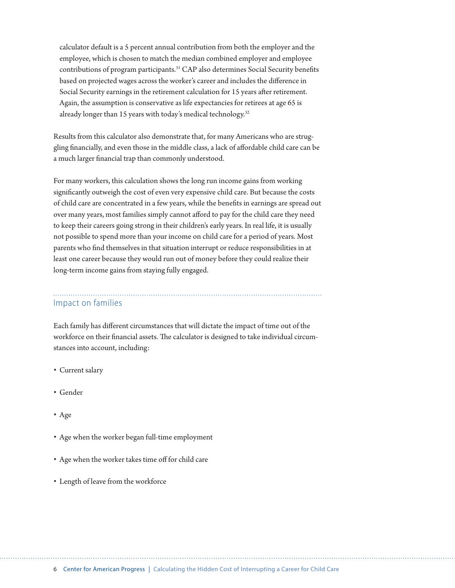calculator default is a 5 percent annual contribution from both the employer and the employee, which is chosen to match the median combined employer and employee contributions of program participants.31 CAP also determines Social Security benefits based on projected wages across the worker's career and includes the difference in Social Security earnings in the retirement calculation for 15 years after retirement. Again, the assumption is conservative as life expectancies for retirees at age 65 is already longer than 15 years with today's medical technology.<sup>32</sup>

Results from this calculator also demonstrate that, for many Americans who are struggling financially, and even those in the middle class, a lack of affordable child care can be a much larger financial trap than commonly understood.

For many workers, this calculation shows the long run income gains from working significantly outweigh the cost of even very expensive child care. But because the costs of child care are concentrated in a few years, while the benefits in earnings are spread out over many years, most families simply cannot afford to pay for the child care they need to keep their careers going strong in their children's early years. In real life, it is usually not possible to spend more than your income on child care for a period of years. Most parents who find themselves in that situation interrupt or reduce responsibilities in at least one career because they would run out of money before they could realize their long-term income gains from staying fully engaged.

### Impact on families

Each family has different circumstances that will dictate the impact of time out of the workforce on their financial assets. The calculator is designed to take individual circumstances into account, including:

- Current salary
- Gender
- Age
- Age when the worker began full-time employment
- Age when the worker takes time off for child care
- Length of leave from the workforce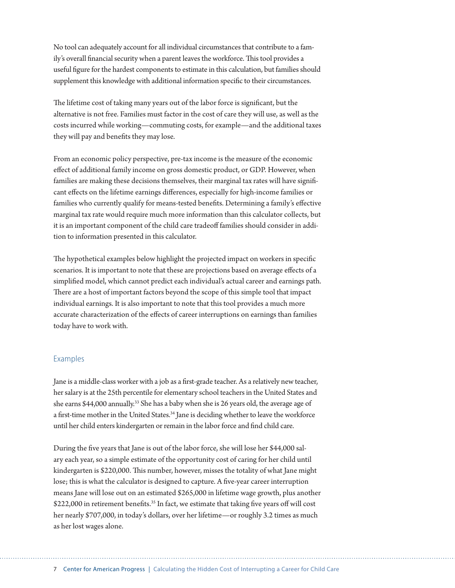No tool can adequately account for all individual circumstances that contribute to a family's overall financial security when a parent leaves the workforce. This tool provides a useful figure for the hardest components to estimate in this calculation, but families should supplement this knowledge with additional information specific to their circumstances.

The lifetime cost of taking many years out of the labor force is significant, but the alternative is not free. Families must factor in the cost of care they will use, as well as the costs incurred while working—commuting costs, for example—and the additional taxes they will pay and benefits they may lose.

From an economic policy perspective, pre-tax income is the measure of the economic effect of additional family income on gross domestic product, or GDP. However, when families are making these decisions themselves, their marginal tax rates will have significant effects on the lifetime earnings differences, especially for high-income families or families who currently qualify for means-tested benefits. Determining a family's effective marginal tax rate would require much more information than this calculator collects, but it is an important component of the child care tradeoff families should consider in addition to information presented in this calculator.

The hypothetical examples below highlight the projected impact on workers in specific scenarios. It is important to note that these are projections based on average effects of a simplified model, which cannot predict each individual's actual career and earnings path. There are a host of important factors beyond the scope of this simple tool that impact individual earnings. It is also important to note that this tool provides a much more accurate characterization of the effects of career interruptions on earnings than families today have to work with.

#### Examples

Jane is a middle-class worker with a job as a first-grade teacher. As a relatively new teacher, her salary is at the 25th percentile for elementary school teachers in the United States and she earns \$44,000 annually.<sup>33</sup> She has a baby when she is 26 years old, the average age of a first-time mother in the United States.<sup>34</sup> Jane is deciding whether to leave the workforce until her child enters kindergarten or remain in the labor force and find child care.

During the five years that Jane is out of the labor force, she will lose her \$44,000 salary each year, so a simple estimate of the opportunity cost of caring for her child until kindergarten is \$220,000. This number, however, misses the totality of what Jane might lose; this is what the calculator is designed to capture. A five-year career interruption means Jane will lose out on an estimated \$265,000 in lifetime wage growth, plus another \$222,000 in retirement benefits.<sup>35</sup> In fact, we estimate that taking five years off will cost her nearly \$707,000, in today's dollars, over her lifetime—or roughly 3.2 times as much as her lost wages alone.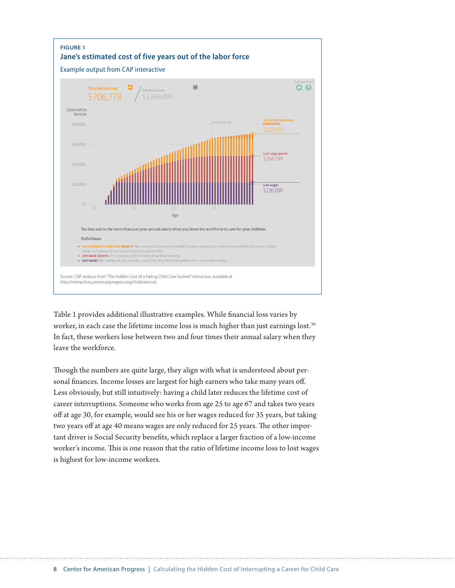

Table 1 provides additional illustrative examples. While financial loss varies by worker, in each case the lifetime income loss is much higher than just earnings lost.<sup>36</sup> In fact, these workers lose between two and four times their annual salary when they leave the workforce.

Though the numbers are quite large, they align with what is understood about personal finances. Income losses are largest for high earners who take many years off. Less obviously, but still intuitively: having a child later reduces the lifetime cost of career interruptions. Someone who works from age 25 to age 67 and takes two years off at age 30, for example, would see his or her wages reduced for 35 years, but taking two years off at age 40 means wages are only reduced for 25 years. The other important driver is Social Security benefits, which replace a larger fraction of a low-income worker's income. This is one reason that the ratio of lifetime income loss to lost wages is highest for low-income workers.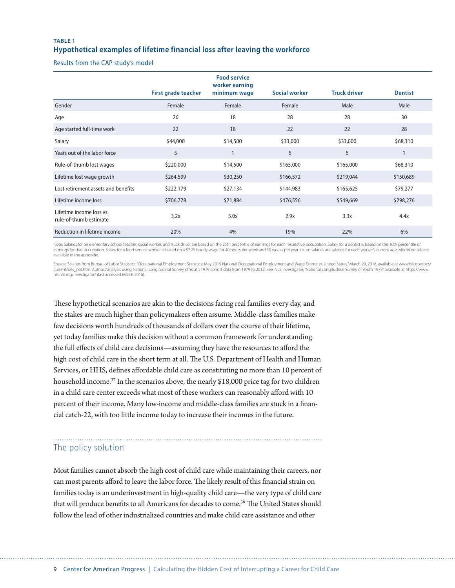#### **TABLE 1 Hypothetical examples of lifetime financial loss after leaving the workforce**

Results from the CAP study's model

|                                                    |                     | <b>Food service</b><br>worker earning |               |                     |                |
|----------------------------------------------------|---------------------|---------------------------------------|---------------|---------------------|----------------|
|                                                    | First grade teacher | minimum wage                          | Social worker | <b>Truck driver</b> | <b>Dentist</b> |
| Gender                                             | Female              | Female                                | Female        | Male                | Male           |
| Age                                                | 26                  | 18                                    | 28            | 28                  | 30             |
| Age started full-time work                         | 22                  | 18                                    | 22            | 22                  | 28             |
| Salary                                             | \$44,000            | \$14,500                              | \$33,000      | \$33,000            | \$68,310       |
| Years out of the labor force                       | 5                   | $\mathbf{1}$                          | 5             | 5                   |                |
| Rule-of-thumb lost wages                           | \$220,000           | \$14,500                              | \$165,000     | \$165,000           | \$68,310       |
| Lifetime lost wage growth                          | \$264,599           | \$30,250                              | \$166,572     | \$219,044           | \$150,689      |
| Lost retirement assets and benefits                | \$222,179           | \$27,134                              | \$144,983     | \$165,625           | \$79,277       |
| Lifetime income loss                               | \$706,778           | \$71,884                              | \$476,556     | \$549,669           | \$298,276      |
| Lifetime income loss vs.<br>rule-of-thumb estimate | 3.2x                | 5.0x                                  | 2.9x          | 3.3x                | 4.4x           |
| Reduction in lifetime income                       | 20%                 | 4%                                    | 19%           | 22%                 | 6%             |

Note: Salaries for an elementary school teacher, social worker, and truck driver are based on the 25th percentile of earnings for each respective occupation. Salary for a dentist is based on the 10th percentile of<br>earnings available in the appendix.

Source: Salaries from Bureau of Labor Statistics," Occupational Employment Statistics: May 2015 National Occupational Employment and Wage Estimates United States," March 20, 2016, available at www.bls.gov/oes/ current/oes\_nat.htm. Authors' analysis using National Longitudinal Survey of Youth 1979 cohort data from 1979 to 2012. See: NLS Investigator, "National Longitudinal Survey of Youth 1979," available at https://www. nlsinfo.org/investigator/ (last accessed March 2016).

These hypothetical scenarios are akin to the decisions facing real families every day, and the stakes are much higher than policymakers often assume. Middle-class families make few decisions worth hundreds of thousands of dollars over the course of their lifetime, yet today families make this decision without a common framework for understanding the full effects of child care decisions—assuming they have the resources to afford the high cost of child care in the short term at all. The U.S. Department of Health and Human Services, or HHS, defines affordable child care as constituting no more than 10 percent of household income.<sup>37</sup> In the scenarios above, the nearly \$18,000 price tag for two children in a child care center exceeds what most of these workers can reasonably afford with 10 percent of their income. Many low-income and middle-class families are stuck in a financial catch-22, with too little income today to increase their incomes in the future.

## The policy solution

Most families cannot absorb the high cost of child care while maintaining their careers, nor can most parents afford to leave the labor force. The likely result of this financial strain on families today is an underinvestment in high-quality child care—the very type of child care that will produce benefits to all Americans for decades to come.38 The United States should follow the lead of other industrialized countries and make child care assistance and other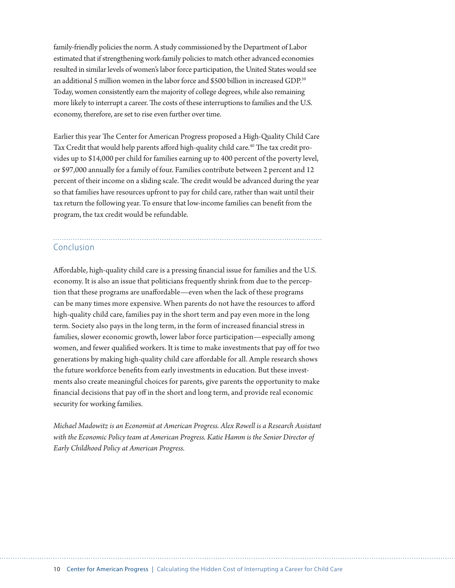family-friendly policies the norm. A study commissioned by the Department of Labor estimated that if strengthening work-family policies to match other advanced economies resulted in similar levels of women's labor force participation, the United States would see an additional 5 million women in the labor force and \$500 billion in increased GDP.39 Today, women consistently earn the majority of college degrees, while also remaining more likely to interrupt a career. The costs of these interruptions to families and the U.S. economy, therefore, are set to rise even further over time.

Earlier this year The Center for American Progress proposed a High-Quality Child Care Tax Credit that would help parents afford high-quality child care.<sup>40</sup> The tax credit provides up to \$14,000 per child for families earning up to 400 percent of the poverty level, or \$97,000 annually for a family of four. Families contribute between 2 percent and 12 percent of their income on a sliding scale. The credit would be advanced during the year so that families have resources upfront to pay for child care, rather than wait until their tax return the following year. To ensure that low-income families can benefit from the program, the tax credit would be refundable.

### Conclusion

Affordable, high-quality child care is a pressing financial issue for families and the U.S. economy. It is also an issue that politicians frequently shrink from due to the perception that these programs are unaffordable—even when the lack of these programs can be many times more expensive. When parents do not have the resources to afford high-quality child care, families pay in the short term and pay even more in the long term. Society also pays in the long term, in the form of increased financial stress in families, slower economic growth, lower labor force participation—especially among women, and fewer qualified workers. It is time to make investments that pay off for two generations by making high-quality child care affordable for all. Ample research shows the future workforce benefits from early investments in education. But these investments also create meaningful choices for parents, give parents the opportunity to make financial decisions that pay off in the short and long term, and provide real economic security for working families.

*Michael Madowitz is an Economist at American Progress. Alex Rowell is a Research Assistant with the Economic Policy team at American Progress. Katie Hamm is the Senior Director of Early Childhood Policy at American Progress.*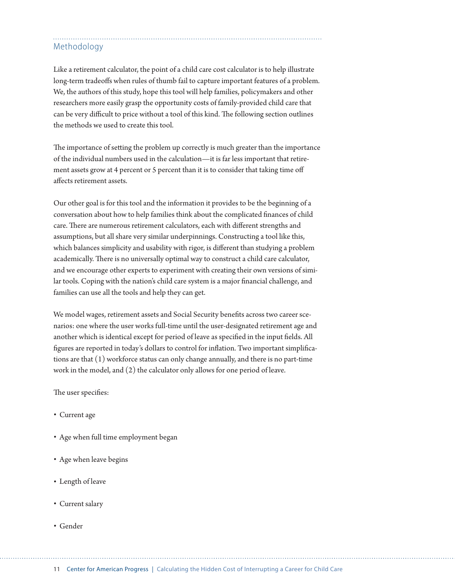## Methodology

Like a retirement calculator, the point of a child care cost calculator is to help illustrate long-term tradeoffs when rules of thumb fail to capture important features of a problem. We, the authors of this study, hope this tool will help families, policymakers and other researchers more easily grasp the opportunity costs of family-provided child care that can be very difficult to price without a tool of this kind. The following section outlines the methods we used to create this tool.

The importance of setting the problem up correctly is much greater than the importance of the individual numbers used in the calculation—it is far less important that retirement assets grow at 4 percent or 5 percent than it is to consider that taking time off affects retirement assets.

Our other goal is for this tool and the information it provides to be the beginning of a conversation about how to help families think about the complicated finances of child care. There are numerous retirement calculators, each with different strengths and assumptions, but all share very similar underpinnings. Constructing a tool like this, which balances simplicity and usability with rigor, is different than studying a problem academically. There is no universally optimal way to construct a child care calculator, and we encourage other experts to experiment with creating their own versions of similar tools. Coping with the nation's child care system is a major financial challenge, and families can use all the tools and help they can get.

We model wages, retirement assets and Social Security benefits across two career scenarios: one where the user works full-time until the user-designated retirement age and another which is identical except for period of leave as specified in the input fields. All figures are reported in today's dollars to control for inflation. Two important simplifications are that (1) workforce status can only change annually, and there is no part-time work in the model, and (2) the calculator only allows for one period of leave.

The user specifies:

- Current age
- Age when full time employment began
- Age when leave begins
- Length of leave
- Current salary
- Gender

11 Center for American Progress | Calculating the Hidden Cost of Interrupting a Career for Child Care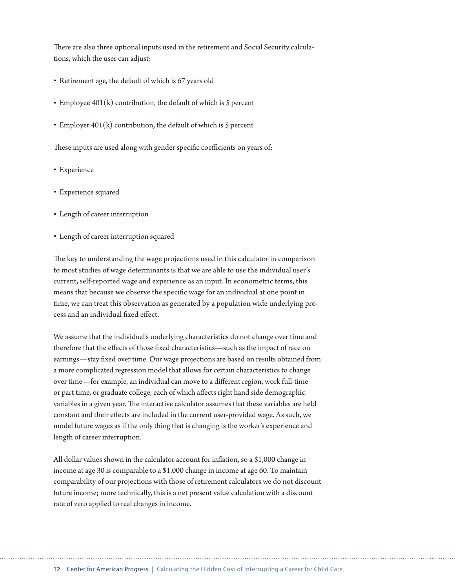There are also three optional inputs used in the retirement and Social Security calculations, which the user can adjust:

- Retirement age, the default of which is 67 years old
- $\cdot$  Employee 401(k) contribution, the default of which is 5 percent
- Employer  $401(k)$  contribution, the default of which is 5 percent

These inputs are used along with gender specific coefficients on years of:

- Experience
- Experience squared
- Length of career interruption
- Length of career interruption squared

The key to understanding the wage projections used in this calculator in comparison to most studies of wage determinants is that we are able to use the individual user's current, self-reported wage and experience as an input. In econometric terms, this means that because we observe the specific wage for an individual at one point in time, we can treat this observation as generated by a population wide underlying process and an individual fixed effect.

We assume that the individual's underlying characteristics do not change over time and therefore that the effects of those fixed characteristics—such as the impact of race on earnings—stay fixed over time. Our wage projections are based on results obtained from a more complicated regression model that allows for certain characteristics to change over time—for example, an individual can move to a different region, work full-time or part time, or graduate college, each of which affects right hand side demographic variables in a given year. The interactive calculator assumes that these variables are held constant and their effects are included in the current user-provided wage. As such, we model future wages as if the only thing that is changing is the worker's experience and length of career interruption.

All dollar values shown in the calculator account for inflation, so a \$1,000 change in income at age 30 is comparable to a \$1,000 change in income at age 60. To maintain comparability of our projections with those of retirement calculators we do not discount future income; more technically, this is a net present value calculation with a discount rate of zero applied to real changes in income.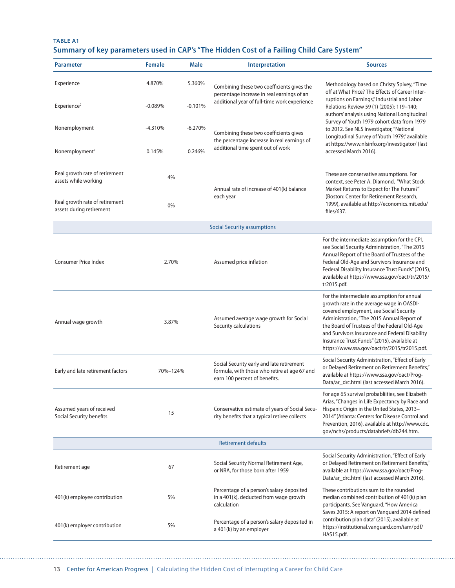#### **TABLE A1 Summary of key parameters used in CAP's "The Hidden Cost of a Failing Child Care System"**

| <b>Parameter</b>                                                                         | <b>Female</b> | <b>Male</b> | Interpretation                                                                                                             | <b>Sources</b>                                                                                                                                                                                                                                                                                                                                                                    |  |
|------------------------------------------------------------------------------------------|---------------|-------------|----------------------------------------------------------------------------------------------------------------------------|-----------------------------------------------------------------------------------------------------------------------------------------------------------------------------------------------------------------------------------------------------------------------------------------------------------------------------------------------------------------------------------|--|
| Experience                                                                               | 4.870%        | 5.360%      | Combining these two coefficients gives the<br>percentage increase in real earnings of an                                   | Methodology based on Christy Spivey, "Time<br>off at What Price? The Effects of Career Inter-                                                                                                                                                                                                                                                                                     |  |
| Experience <sup>2</sup>                                                                  | $-0.089%$     | $-0.101%$   | additional year of full-time work experience                                                                               | ruptions on Earnings," Industrial and Labor<br>Relations Review 59 (1) (2005): 119-140;<br>authors' analysis using National Longitudinal<br>Survey of Youth 1979 cohort data from 1979<br>to 2012. See NLS Investigator, "National<br>Longitudinal Survey of Youth 1979," available<br>at https://www.nlsinfo.org/investigator/ (last<br>accessed March 2016).                    |  |
| Nonemployment                                                                            | $-4.310%$     | $-6.270%$   | Combining these two coefficients gives<br>the percentage increase in real earnings of                                      |                                                                                                                                                                                                                                                                                                                                                                                   |  |
| Nonemployment <sup>2</sup>                                                               | 0.145%        | 0.246%      | additional time spent out of work                                                                                          |                                                                                                                                                                                                                                                                                                                                                                                   |  |
| Real growth rate of retirement<br>assets while working<br>Real growth rate of retirement | 4%<br>0%      |             | Annual rate of increase of 401(k) balance<br>each year                                                                     | These are conservative assumptions. For<br>context, see Peter A. Diamond, "What Stock<br>Market Returns to Expect for The Future?"<br>(Boston: Center for Retirement Research,<br>1999), available at http://economics.mit.edu/                                                                                                                                                   |  |
| assets during retirement                                                                 |               |             |                                                                                                                            | files/637.                                                                                                                                                                                                                                                                                                                                                                        |  |
|                                                                                          |               |             | <b>Social Security assumptions</b>                                                                                         |                                                                                                                                                                                                                                                                                                                                                                                   |  |
| <b>Consumer Price Index</b>                                                              | 2.70%         |             | Assumed price inflation                                                                                                    | For the intermediate assumption for the CPI,<br>see Social Security Administration, "The 2015<br>Annual Report of the Board of Trustees of the<br>Federal Old-Age and Survivors Insurance and<br>Federal Disability Insurance Trust Funds" (2015),<br>available at https://www.ssa.gov/oact/tr/2015/<br>tr2015.pdf.                                                               |  |
| Annual wage growth                                                                       | 3.87%         |             | Assumed average wage growth for Social<br>Security calculations                                                            | For the intermediate assumption for annual<br>growth rate in the average wage in OASDI-<br>covered employment, see Social Security<br>Administration, "The 2015 Annual Report of<br>the Board of Trustees of the Federal Old-Age<br>and Survivors Insurance and Federal Disability<br>Insurance Trust Funds" (2015), available at<br>https://www.ssa.gov/oact/tr/2015/tr2015.pdf. |  |
| Early and late retirement factors                                                        | 70%-124%      |             | Social Security early and late retirement<br>formula, with those who retire at age 67 and<br>earn 100 percent of benefits. | Social Security Administration, "Effect of Early<br>or Delayed Retirement on Retirement Benefits,"<br>available at https://www.ssa.gov/oact/Prog-<br>Data/ar_drc.html (last accessed March 2016).                                                                                                                                                                                 |  |
| Assumed years of received<br>Social Security benefits                                    | 15            |             | Conservative estimate of years of Social Secu-<br>rity benefits that a typical retiree collects                            | For age 65 survival probabliities, see Elizabeth<br>Arias, "Changes in Life Expectancy by Race and<br>Hispanic Origin in the United States, 2013-<br>2014" (Atlanta: Centers for Disease Control and<br>Prevention, 2016), available at http://www.cdc.<br>gov/nchs/products/databriefs/db244.htm.                                                                                |  |
| <b>Retirement defaults</b>                                                               |               |             |                                                                                                                            |                                                                                                                                                                                                                                                                                                                                                                                   |  |
| Retirement age                                                                           | 67            |             | Social Security Normal Retirement Age,<br>or NRA, for those born after 1959                                                | Social Security Administration, "Effect of Early<br>or Delayed Retirement on Retirement Benefits,"<br>available at https://www.ssa.gov/oact/Prog-<br>Data/ar_drc.html (last accessed March 2016).                                                                                                                                                                                 |  |
| 401(k) employee contribution                                                             | 5%            |             | Percentage of a person's salary deposited<br>in a 401(k), deducted from wage growth<br>calculation                         | These contributions sum to the rounded<br>median combined contribution of 401(k) plan<br>participants. See Vanguard, "How America<br>Saves 2015: A report on Vanguard 2014 defined                                                                                                                                                                                                |  |
| 401(k) employer contribution                                                             | 5%            |             | Percentage of a person's salary deposited in<br>a 401(k) by an employer                                                    | contribution plan data" (2015), available at<br>https://institutional.vanguard.com/iam/pdf/<br>HAS15.pdf.                                                                                                                                                                                                                                                                         |  |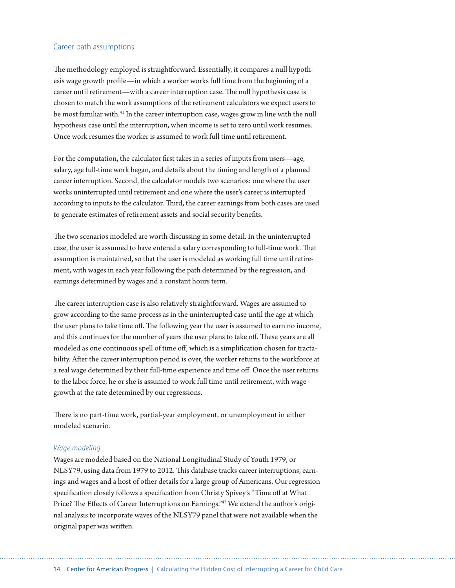#### Career path assumptions

The methodology employed is straightforward. Essentially, it compares a null hypothesis wage growth profile—in which a worker works full time from the beginning of a career until retirement—with a career interruption case. The null hypothesis case is chosen to match the work assumptions of the retirement calculators we expect users to be most familiar with.<sup>41</sup> In the career interruption case, wages grow in line with the null hypothesis case until the interruption, when income is set to zero until work resumes. Once work resumes the worker is assumed to work full time until retirement.

For the computation, the calculator first takes in a series of inputs from users—age, salary, age full-time work began, and details about the timing and length of a planned career interruption. Second, the calculator models two scenarios: one where the user works uninterrupted until retirement and one where the user's career is interrupted according to inputs to the calculator. Third, the career earnings from both cases are used to generate estimates of retirement assets and social security benefits.

The two scenarios modeled are worth discussing in some detail. In the uninterrupted case, the user is assumed to have entered a salary corresponding to full-time work. That assumption is maintained, so that the user is modeled as working full time until retirement, with wages in each year following the path determined by the regression, and earnings determined by wages and a constant hours term.

The career interruption case is also relatively straightforward. Wages are assumed to grow according to the same process as in the uninterrupted case until the age at which the user plans to take time off. The following year the user is assumed to earn no income, and this continues for the number of years the user plans to take off. These years are all modeled as one continuous spell of time off, which is a simplification chosen for tractability. After the career interruption period is over, the worker returns to the workforce at a real wage determined by their full-time experience and time off. Once the user returns to the labor force, he or she is assumed to work full time until retirement, with wage growth at the rate determined by our regressions.

There is no part-time work, partial-year employment, or unemployment in either modeled scenario.

#### *Wage modeling*

Wages are modeled based on the National Longitudinal Study of Youth 1979, or NLSY79, using data from 1979 to 2012. This database tracks career interruptions, earnings and wages and a host of other details for a large group of Americans. Our regression specification closely follows a specification from Christy Spivey's "Time off at What Price? The Effects of Career Interruptions on Earnings."<sup>42</sup> We extend the author's original analysis to incorporate waves of the NLSY79 panel that were not available when the original paper was written.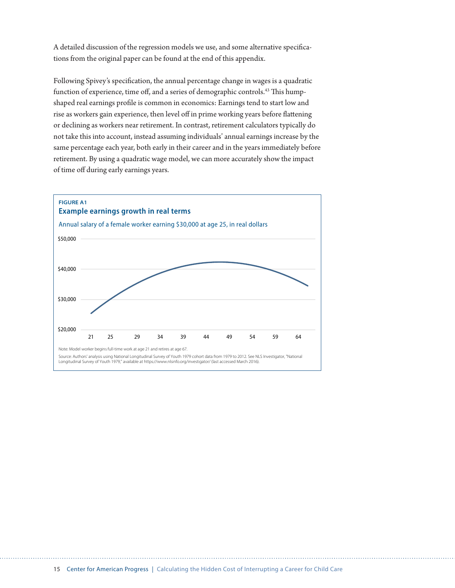A detailed discussion of the regression models we use, and some alternative specifications from the original paper can be found at the end of this appendix.

Following Spivey's specification, the annual percentage change in wages is a quadratic function of experience, time off, and a series of demographic controls.<sup>43</sup> This humpshaped real earnings profile is common in economics: Earnings tend to start low and rise as workers gain experience, then level off in prime working years before flattening or declining as workers near retirement. In contrast, retirement calculators typically do not take this into account, instead assuming individuals' annual earnings increase by the same percentage each year, both early in their career and in the years immediately before retirement. By using a quadratic wage model, we can more accurately show the impact of time off during early earnings years.

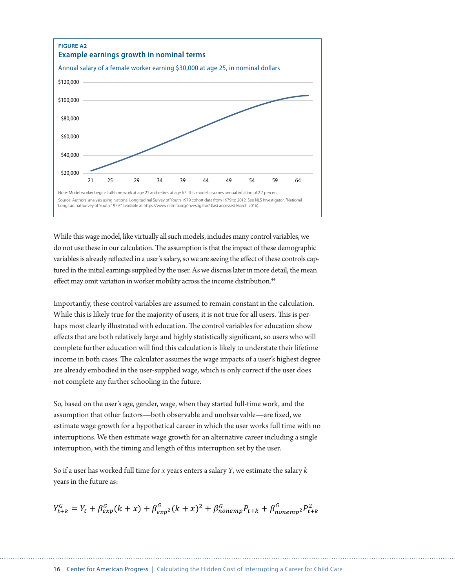

While this wage model, like virtually all such models, includes many control variables, we do not use these in our calculation. The assumption is that the impact of these demographic variables is already reflected in a user's salary, so we are seeing the effect of these controls captured in the initial earnings supplied by the user. As we discuss later in more detail, the mean effect may omit variation in worker mobility across the income distribution.<sup>44</sup>

Importantly, these control variables are assumed to remain constant in the calculation. While this is likely true for the majority of users, it is not true for all users. This is perhaps most clearly illustrated with education. The control variables for education show effects that are both relatively large and highly statistically significant, so users who will complete further education will find this calculation is likely to understate their lifetime income in both cases. The calculator assumes the wage impacts of a user's highest degree are already embodied in the user-supplied wage, which is only correct if the user does not complete any further schooling in the future.

So, based on the user's age, gender, wage, when they started full-time work, and the assumption that other factors—both observable and unobservable—are fixed, we estimate wage growth for a hypothetical career in which the user works full time with no interruptions. We then estimate wage growth for an alternative career including a single interruption, with the timing and length of this interruption set by the user.

So if a user has worked full time for *x* years enters a salary *Y*, we estimate the salary *k* years in the future as:  $\frac{1}{2}$  function

$$
Y_{t+k}^G = Y_t + \beta_{exp}^G(k+x) + \beta_{exp}^G2(k+x)^2 + \beta_{nonemp}^G P_{t+k} + \beta_{nonemp}^G 2 P_{t+k}^2
$$

*pthase construction interruption interruption interruption interruption interruption interruption* **in**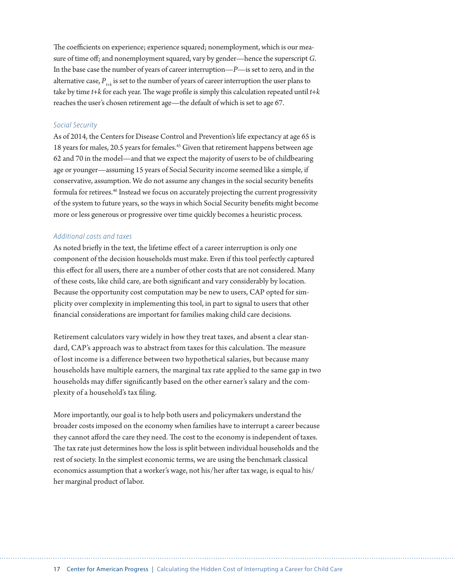The coefficients on experience; experience squared; nonemployment, which is our measure of time off; and nonemployment squared, vary by gender—hence the superscript *G*. In the base case the number of years of career interruption—*P*—is set to zero, and in the alternative case,  $P_{t+k}$  is set to the number of years of career interruption the user plans to take by time *t+k* for each year. The wage profile is simply this calculation repeated until *t+k* reaches the user's chosen retirement age—the default of which is set to age 67.

#### *Social Security*

As of 2014, the Centers for Disease Control and Prevention's life expectancy at age 65 is 18 years for males, 20.5 years for females.<sup>45</sup> Given that retirement happens between age 62 and 70 in the model—and that we expect the majority of users to be of childbearing age or younger—assuming 15 years of Social Security income seemed like a simple, if conservative, assumption. We do not assume any changes in the social security benefits formula for retirees.<sup>46</sup> Instead we focus on accurately projecting the current progressivity of the system to future years, so the ways in which Social Security benefits might become more or less generous or progressive over time quickly becomes a heuristic process.

#### *Additional costs and taxes*

As noted briefly in the text, the lifetime effect of a career interruption is only one component of the decision households must make. Even if this tool perfectly captured this effect for all users, there are a number of other costs that are not considered. Many of these costs, like child care, are both significant and vary considerably by location. Because the opportunity cost computation may be new to users, CAP opted for simplicity over complexity in implementing this tool, in part to signal to users that other financial considerations are important for families making child care decisions.

Retirement calculators vary widely in how they treat taxes, and absent a clear standard, CAP's approach was to abstract from taxes for this calculation. The measure of lost income is a difference between two hypothetical salaries, but because many households have multiple earners, the marginal tax rate applied to the same gap in two households may differ significantly based on the other earner's salary and the complexity of a household's tax filing.

More importantly, our goal is to help both users and policymakers understand the broader costs imposed on the economy when families have to interrupt a career because they cannot afford the care they need. The cost to the economy is independent of taxes. The tax rate just determines how the loss is split between individual households and the rest of society. In the simplest economic terms, we are using the benchmark classical economics assumption that a worker's wage, not his/her after tax wage, is equal to his/ her marginal product of labor.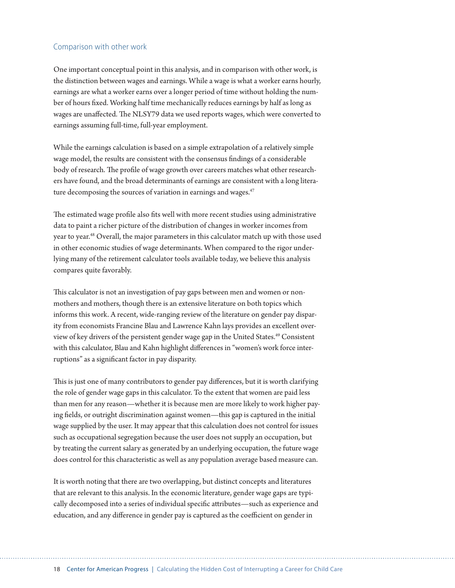#### Comparison with other work

One important conceptual point in this analysis, and in comparison with other work, is the distinction between wages and earnings. While a wage is what a worker earns hourly, earnings are what a worker earns over a longer period of time without holding the number of hours fixed. Working half time mechanically reduces earnings by half as long as wages are unaffected. The NLSY79 data we used reports wages, which were converted to earnings assuming full-time, full-year employment.

While the earnings calculation is based on a simple extrapolation of a relatively simple wage model, the results are consistent with the consensus findings of a considerable body of research. The profile of wage growth over careers matches what other researchers have found, and the broad determinants of earnings are consistent with a long literature decomposing the sources of variation in earnings and wages.<sup>47</sup>

The estimated wage profile also fits well with more recent studies using administrative data to paint a richer picture of the distribution of changes in worker incomes from year to year.<sup>48</sup> Overall, the major parameters in this calculator match up with those used in other economic studies of wage determinants. When compared to the rigor underlying many of the retirement calculator tools available today, we believe this analysis compares quite favorably.

This calculator is not an investigation of pay gaps between men and women or nonmothers and mothers, though there is an extensive literature on both topics which informs this work. A recent, wide-ranging review of the literature on gender pay disparity from economists Francine Blau and Lawrence Kahn lays provides an excellent overview of key drivers of the persistent gender wage gap in the United States.49 Consistent with this calculator, Blau and Kahn highlight differences in "women's work force interruptions" as a significant factor in pay disparity.

This is just one of many contributors to gender pay differences, but it is worth clarifying the role of gender wage gaps in this calculator. To the extent that women are paid less than men for any reason—whether it is because men are more likely to work higher paying fields, or outright discrimination against women—this gap is captured in the initial wage supplied by the user. It may appear that this calculation does not control for issues such as occupational segregation because the user does not supply an occupation, but by treating the current salary as generated by an underlying occupation, the future wage does control for this characteristic as well as any population average based measure can.

It is worth noting that there are two overlapping, but distinct concepts and literatures that are relevant to this analysis. In the economic literature, gender wage gaps are typically decomposed into a series of individual specific attributes—such as experience and education, and any difference in gender pay is captured as the coefficient on gender in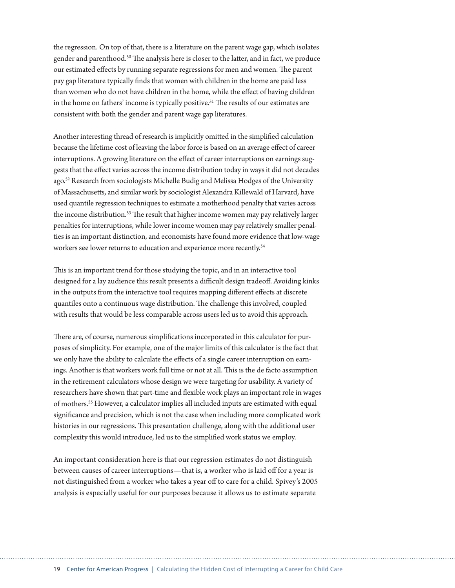the regression. On top of that, there is a literature on the parent wage gap, which isolates gender and parenthood.<sup>50</sup> The analysis here is closer to the latter, and in fact, we produce our estimated effects by running separate regressions for men and women. The parent pay gap literature typically finds that women with children in the home are paid less than women who do not have children in the home, while the effect of having children in the home on fathers' income is typically positive.<sup>51</sup> The results of our estimates are consistent with both the gender and parent wage gap literatures.

Another interesting thread of research is implicitly omitted in the simplified calculation because the lifetime cost of leaving the labor force is based on an average effect of career interruptions. A growing literature on the effect of career interruptions on earnings suggests that the effect varies across the income distribution today in ways it did not decades ago.52 Research from sociologists Michelle Budig and Melissa Hodges of the University of Massachusetts, and similar work by sociologist Alexandra Killewald of Harvard, have used quantile regression techniques to estimate a motherhood penalty that varies across the income distribution.<sup>53</sup> The result that higher income women may pay relatively larger penalties for interruptions, while lower income women may pay relatively smaller penalties is an important distinction, and economists have found more evidence that low-wage workers see lower returns to education and experience more recently.<sup>54</sup>

This is an important trend for those studying the topic, and in an interactive tool designed for a lay audience this result presents a difficult design tradeoff. Avoiding kinks in the outputs from the interactive tool requires mapping different effects at discrete quantiles onto a continuous wage distribution. The challenge this involved, coupled with results that would be less comparable across users led us to avoid this approach.

There are, of course, numerous simplifications incorporated in this calculator for purposes of simplicity. For example, one of the major limits of this calculator is the fact that we only have the ability to calculate the effects of a single career interruption on earnings. Another is that workers work full time or not at all. This is the de facto assumption in the retirement calculators whose design we were targeting for usability. A variety of researchers have shown that part-time and flexible work plays an important role in wages of mothers.55 However, a calculator implies all included inputs are estimated with equal significance and precision, which is not the case when including more complicated work histories in our regressions. This presentation challenge, along with the additional user complexity this would introduce, led us to the simplified work status we employ.

An important consideration here is that our regression estimates do not distinguish between causes of career interruptions—that is, a worker who is laid off for a year is not distinguished from a worker who takes a year off to care for a child. Spivey's 2005 analysis is especially useful for our purposes because it allows us to estimate separate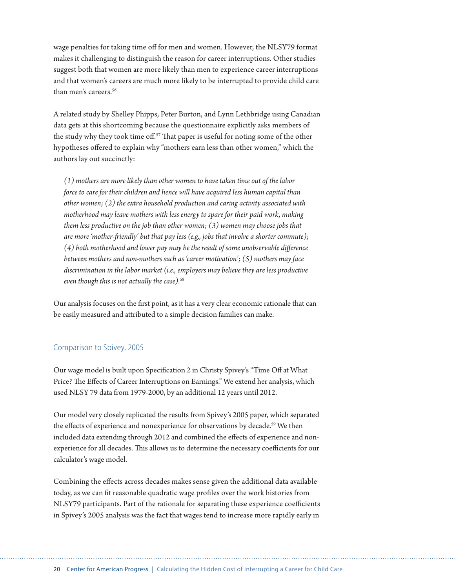wage penalties for taking time off for men and women. However, the NLSY79 format makes it challenging to distinguish the reason for career interruptions. Other studies suggest both that women are more likely than men to experience career interruptions and that women's careers are much more likely to be interrupted to provide child care than men's careers.<sup>56</sup>

A related study by Shelley Phipps, Peter Burton, and Lynn Lethbridge using Canadian data gets at this shortcoming because the questionnaire explicitly asks members of the study why they took time off.<sup>57</sup> That paper is useful for noting some of the other hypotheses offered to explain why "mothers earn less than other women," which the authors lay out succinctly:

*(1) mothers are more likely than other women to have taken time out of the labor force to care for their children and hence will have acquired less human capital than other women; (2) the extra household production and caring activity associated with motherhood may leave mothers with less energy to spare for their paid work, making them less productive on the job than other women; (3) women may choose jobs that are more 'mother-friendly' but that pay less (e.g., jobs that involve a shorter commute); (4) both motherhood and lower pay may be the result of some unobservable difference between mothers and non-mothers such as 'career motivation'; (5) mothers may face discrimination in the labor market (i.e., employers may believe they are less productive even though this is not actually the case).*<sup>58</sup>

Our analysis focuses on the first point, as it has a very clear economic rationale that can be easily measured and attributed to a simple decision families can make.

#### Comparison to Spivey, 2005

Our wage model is built upon Specification 2 in Christy Spivey's "Time Off at What Price? The Effects of Career Interruptions on Earnings." We extend her analysis, which used NLSY 79 data from 1979-2000, by an additional 12 years until 2012.

Our model very closely replicated the results from Spivey's 2005 paper, which separated the effects of experience and nonexperience for observations by decade.<sup>59</sup> We then included data extending through 2012 and combined the effects of experience and nonexperience for all decades. This allows us to determine the necessary coefficients for our calculator's wage model.

Combining the effects across decades makes sense given the additional data available today, as we can fit reasonable quadratic wage profiles over the work histories from NLSY79 participants. Part of the rationale for separating these experience coefficients in Spivey's 2005 analysis was the fact that wages tend to increase more rapidly early in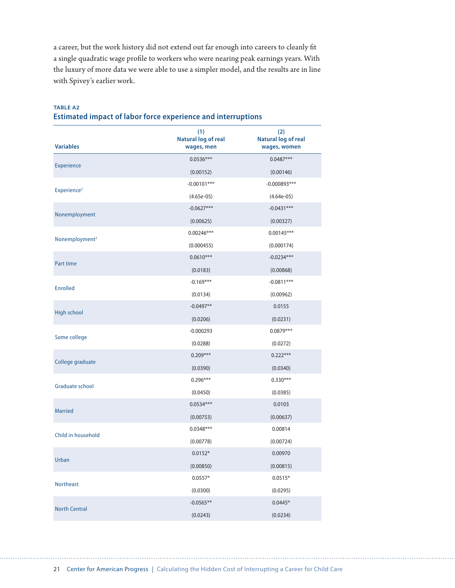a career, but the work history did not extend out far enough into careers to cleanly fit a single quadratic wage profile to workers who were nearing peak earnings years. With the luxury of more data we were able to use a simpler model, and the results are in line with Spivey's earlier work.

| <b>TABLE A2</b>                                                     |  |  |
|---------------------------------------------------------------------|--|--|
| <b>Estimated impact of labor force experience and interruptions</b> |  |  |

| <b>Variables</b>           | (1)<br><b>Natural log of real</b><br>wages, men | (2)<br><b>Natural log of real</b><br>wages, women |
|----------------------------|-------------------------------------------------|---------------------------------------------------|
|                            | $0.0536***$                                     | $0.0487***$                                       |
| Experience                 | (0.00152)                                       | (0.00146)                                         |
|                            | $-0.00101***$                                   | $-0.000893***$                                    |
| Experience <sup>2</sup>    | $(4.65e-05)$                                    | $(4.64e-05)$                                      |
|                            | $-0.0627***$                                    | $-0.0431***$                                      |
| Nonemployment              | (0.00625)                                       | (0.00327)                                         |
|                            | $0.00246***$                                    | $0.00145***$                                      |
| Nonemployment <sup>2</sup> | (0.000455)                                      | (0.000174)                                        |
| Part time                  | $0.0610***$                                     | $-0.0234***$                                      |
|                            | (0.0183)                                        | (0.00868)                                         |
| <b>Enrolled</b>            | $-0.169***$                                     | $-0.0811***$                                      |
|                            | (0.0134)                                        | (0.00962)                                         |
| High school                | $-0.0497**$                                     | 0.0155                                            |
|                            | (0.0206)                                        | (0.0231)                                          |
| Some college               | $-0.000293$                                     | $0.0879***$                                       |
|                            | (0.0288)                                        | (0.0272)                                          |
| College graduate           | $0.209***$                                      | $0.222***$                                        |
|                            | (0.0390)                                        | (0.0340)                                          |
| <b>Graduate school</b>     | $0.296***$                                      | $0.330***$                                        |
|                            | (0.0450)                                        | (0.0385)                                          |
| <b>Married</b>             | $0.0534***$                                     | 0.0103                                            |
|                            | (0.00753)                                       | (0.00637)                                         |
| Child in household         | $0.0348***$                                     | 0.00814                                           |
|                            | (0.00778)                                       | (0.00724)                                         |
| Urban                      | $0.0152*$                                       | 0.00970                                           |
|                            | (0.00850)                                       | (0.00815)                                         |
| <b>Northeast</b>           | $0.0557*$                                       | $0.0515*$                                         |
|                            | (0.0300)                                        | (0.0295)                                          |
| <b>North Central</b>       | $-0.0565**$                                     | $0.0445*$                                         |
|                            | (0.0243)                                        | (0.0234)                                          |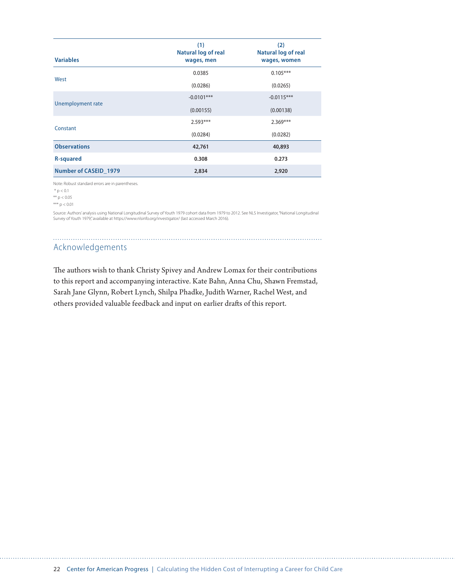| <b>Variables</b>      | (1)<br>Natural log of real<br>wages, men | (2)<br>Natural log of real<br>wages, women |
|-----------------------|------------------------------------------|--------------------------------------------|
| West                  | 0.0385                                   | $0.105***$                                 |
|                       | (0.0286)                                 | (0.0265)                                   |
|                       | $-0.0101***$                             | $-0.0115***$                               |
| Unemployment rate     | (0.00155)                                | (0.00138)                                  |
|                       | $2.593***$                               | $2.369***$                                 |
| Constant              | (0.0284)                                 | (0.0282)                                   |
| <b>Observations</b>   | 42,761                                   | 40,893                                     |
| <b>R-squared</b>      | 0.308                                    | 0.273                                      |
| Number of CASEID 1979 | 2,834                                    | 2,920                                      |

Note: Robust standard errors are in parentheses.

 \* p < 0.1 \*\* p < 0.05

\*\*\* p < 0.01

Source: Authors'analysis using National Longitudinal Survey of Youth 1979 cohort data from 1979 to 2012. See NLS Investigator, "National Longitudinal<br>Survey of Youth 1979," available at https://www.nlsinfo.org/investigator

## Acknowledgements

The authors wish to thank Christy Spivey and Andrew Lomax for their contributions to this report and accompanying interactive. Kate Bahn, Anna Chu, Shawn Fremstad, Sarah Jane Glynn, Robert Lynch, Shilpa Phadke, Judith Warner, Rachel West, and others provided valuable feedback and input on earlier drafts of this report.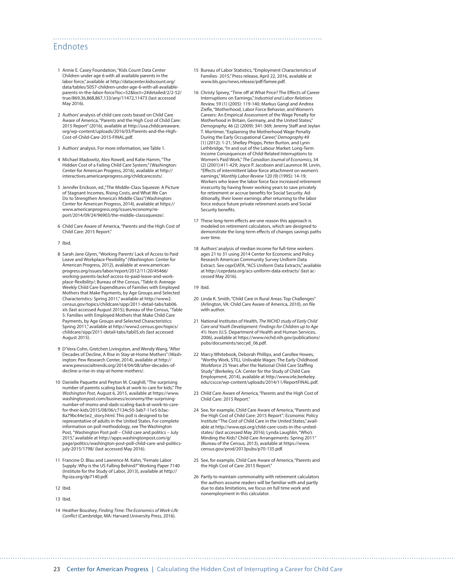#### Endnotes

- 1 Annie E. Casey Foundation, "Kids Count Data Center Children under age 6 with all available parents in the labor force," available at http://datacenter.kidscount.org/ data/tables/5057-children-under-age-6-with-all-availableparents-in-the-labor-force?loc=52&loct=2#detailed/2/2-52/ true/869,36,868,867,133/any/11472,11473 (last accessed May 2016).
- 2 Authors' analysis of child care costs based on Child Care Aware of America, "Parents and the High Cost of Child Care: 2015 Report" (2016), available at [http://usa.childcareaware.](http://usa.childcareaware.org/wp-content/uploads/2016/03/Parents-and-the-High-Cost-of-Child-Care-2015-FINAL.pdf) [org/wp-content/uploads/2016/03/Parents-and-the-High-](http://usa.childcareaware.org/wp-content/uploads/2016/03/Parents-and-the-High-Cost-of-Child-Care-2015-FINAL.pdf)[Cost-of-Child-Care-2015-FINAL.pdf.](http://usa.childcareaware.org/wp-content/uploads/2016/03/Parents-and-the-High-Cost-of-Child-Care-2015-FINAL.pdf)
- 3 Authors' analysis. For more information, see Table 1.
- 4 Michael Madowitz, Alex Rowell, and Katie Hamm, "The Hidden Cost of a Failing Child Care System," (Washington: Center for American Progress, 2016), available at http:// interactives.americanprogress.org/childcarecosts/.
- 5 Jennifer Erickson, ed.,"The Middle-Class Squeeze: A Picture of Stagnant Incomes, Rising Costs, and What We Can Do to Strengthen America's Middle Class"(Washington: Center for American Progress, 2014), available at [https://](https://www.americanprogress.org/issues/economy/report/2014/09/24/96903/the-middle-classsqueeze/) [www.americanprogress.org/issues/economy/re](https://www.americanprogress.org/issues/economy/report/2014/09/24/96903/the-middle-classsqueeze/)[port/2014/09/24/96903/the-middle-classsqueeze/](https://www.americanprogress.org/issues/economy/report/2014/09/24/96903/the-middle-classsqueeze/).
- 6 Child Care Aware of America, "Parents and the High Cost of Child Care: 2015 Report."
- 7 Ibid.
- 8 Sarah Jane Glynn, "Working Parents' Lack of Access to Paid Leave and Workplace Flexibility" (Washington: Center for American Progress, 2012), available at [www.american](http://www.americanprogress.org/issues/labor/)[progress.org/issues/labor/r](http://www.americanprogress.org/issues/labor/)eport/2012/11/20/45466/ working-parents-lackof-access-to-paid-leave-and-workplace-flexibility/; Bureau of the Census, "Table 6: Average Weekly Child Care Expenditures of Families with Employed Mothers that Make Payments, by Age Groups and Selected Characteristics: Spring 2011," available at http://www2. census.gov/topics/childcare/sipp/2011-detail-tabs/tab06. xls (last accessed August 2015); Bureau of the Census, "Table 5: Families with Employed Mothers that Make Child Care Payments, by Age Groups and Selected Characteristics: Spring 2011," available at http://www2.census.gov/topics/ childcare/sipp/2011-detail-tabs/tab05.xls (last accessed August 2015).
- 9 D'Vera Cohn, Gretchen Livingston, and Wendy Wang, "After Decades of Decline, A Rise in Stay-at-Home Mothers" (Washington: Pew Research Center, 2014), available at [http://](http://www.pewsocialtrends.org/2014/04/08/after-decades-of-decline-a-rise-in-stay-at-home-mothers/) [www.pewsocialtrends.org/2014/04/08/after-decades-of](http://www.pewsocialtrends.org/2014/04/08/after-decades-of-decline-a-rise-in-stay-at-home-mothers/)[decline-a-rise-in-stay-at-home-mothers/.](http://www.pewsocialtrends.org/2014/04/08/after-decades-of-decline-a-rise-in-stay-at-home-mothers/)
- 10 Danielle Paquette and Peyton M. Craighill, "The surprising number of parents scaling back at work to care for kids," *The Washington Post*, August 6, 2015, available at [https://www.](https://www.washingtonpost.com/business/economy/the-surprising-number-of-moms-and-dads-scaling-back-at-work-to-care-for-their-kids/2015/08/06/c7134c50-3ab7-11e5-b3ac-8a79bc44e5e2_story.html) [washingtonpost.com/business/economy/the-surprising](https://www.washingtonpost.com/business/economy/the-surprising-number-of-moms-and-dads-scaling-back-at-work-to-care-for-their-kids/2015/08/06/c7134c50-3ab7-11e5-b3ac-8a79bc44e5e2_story.html)[number-of-moms-and-dads-scaling-back-at-work-to-care](https://www.washingtonpost.com/business/economy/the-surprising-number-of-moms-and-dads-scaling-back-at-work-to-care-for-their-kids/2015/08/06/c7134c50-3ab7-11e5-b3ac-8a79bc44e5e2_story.html)[for-their-kids/2015/08/06/c7134c50-3ab7-11e5-b3ac-](https://www.washingtonpost.com/business/economy/the-surprising-number-of-moms-and-dads-scaling-back-at-work-to-care-for-their-kids/2015/08/06/c7134c50-3ab7-11e5-b3ac-8a79bc44e5e2_story.html)[8a79bc44e5e2\\_story.html](https://www.washingtonpost.com/business/economy/the-surprising-number-of-moms-and-dads-scaling-back-at-work-to-care-for-their-kids/2015/08/06/c7134c50-3ab7-11e5-b3ac-8a79bc44e5e2_story.html). This poll is designed to be representative of adults in the United States. For complete information on poll methodology, see The Washington Post*,* "Washington Post poll – Child care and politics – July 2015," available at [http://apps.washingtonpost.com/g/](http://apps.washingtonpost.com/g/page/politics/washington-post-poll-child-care-and-politics-july-2015/1798/) [page/politics/washington-post-poll-child-care-and-politics](http://apps.washingtonpost.com/g/page/politics/washington-post-poll-child-care-and-politics-july-2015/1798/)[july-2015/1798/](http://apps.washingtonpost.com/g/page/politics/washington-post-poll-child-care-and-politics-july-2015/1798/) (last accessed May 2016).
- 11 Francine D. Blau and Lawrence M. Kahn, "Female Labor Supply: Why is the US Falling Behind?" Working Paper 7140 (Institute for the Study of Labor, 2013), available at [http://](http://ftp.iza.org/dp7140.pdf) [ftp.iza.org/dp7140.pdf](http://ftp.iza.org/dp7140.pdf).
- 12 Ibid.
- 13 Ibid.
- 14 Heather Boushey, *Finding Time: The Economics of Work-Life Conflict* (Cambridge, MA: Harvard University Press, 2016).
- 15 Bureau of Labor Statistics, "Employment Characteristics of Families- 2015," Press release, April 22, 2016, available at [www.bls.gov/news.release/pdf/famee.pdf](http://www.bls.gov/news.release/pdf/famee.pdf).
- 16 Christy Spivey, "Time off at What Price? The Effects of Career Interruptions on Earnings," *Industrial and Labor Relations Review,* 59 (1) (2005): 119-140; Markus Gangl and Andrea Ziefle, "Motherhood, Labor Force Behavior, and Women's Careers: An Empirical Assessment of the Wage Penalty for Motherhood in Britain, Germany, and the United States," *Demography,* 46 (2) (2009): 341-369; Jeremy Staff and Jeylan T. Mortimer, "Explaining the Motherhood Wage Penalty During the Early Occupational Career," *Demography* 49 (1) (2012): 1-21; Shelley Phipps, Peter Burton, and Lynn Lethbridge, "In and out of the Labour Market: Long-Term Income Consequences of Child-Related Interruptions to Women's Paid Work," *The Canadian Journal of Economics,* 34 (2) (2001):411-429; Joyce P. Jacobsen and Laurence M. Levin, "Effects of intermittent labor force attachment on women's earnings," *Monthly Labor Review* 120 (9) (1995): 14-19; Workers who leave the labor force face increased retirement insecurity by having fewer working years to save privately for retirement or accrue benefits for Social Security. Additionally, their lower earnings after returning to the labor force reduce future private retirement assets and Social Security benefits.
- 17 These long-term effects are one reason this approach is modeled on retirement calculators, which are designed to demonstrate the long-term effects of changes savings paths over time.
- 18 Authors' analysis of median income for full-time workers ages 21 to 31 using 2014 Center for Economic and Policy Research American Community Survey Uniform Data Extract. See ceprDATA, "ACS Uniform Data Extracts," available at <http://ceprdata.org/acs-uniform-data-extracts/> (last accessed May 2016).
- 19 Ibid.

- 20 Linda K. Smith, "Child Care in Rural Areas: Top Challenges" (Arlington, VA: Child Care Aware of America, 2010), on file with author.
- 21 National Institutes of Health, *The NICHD study of Early Child Care and Youth Development: Findings for Children up to Age 4½ Years* (U.S. Department of Health and Human Services, 2006), available at [https://www.nichd.nih.gov/publications/](https://www.nichd.nih.gov/publications/pubs/documents/seccyd_06.pdf) [pubs/documents/seccyd\\_06.pdf.](https://www.nichd.nih.gov/publications/pubs/documents/seccyd_06.pdf)
- 22 Marcy Whitebook, Deborah Phillips, and Carollee Howes, "Worthy Work, STILL Unlivable Wages: The Early Childhood Workforce 25 Years after the National Child Care Staffing Study" (Berkeley, CA: Center for the Study of Child Care Employment, 2014), available at [http://www.irle.berkeley.](http://www.irle.berkeley.edu/cscce/wp-content/uploads/2014/11/ReportFINAL.pdf) [edu/cscce/wp-content/uploads/2014/11/ReportFINAL.pdf](http://www.irle.berkeley.edu/cscce/wp-content/uploads/2014/11/ReportFINAL.pdf).
- 23 Child Care Aware of America, "Parents and the High Cost of Child Care: 2015 Report."
- 24 See, for example, Child Care Aware of America, "Parents and the High Cost of Child Care: 2015 Report"; Economic Policy Institute "The Cost of Child Care in the United States," available at [http://www.epi.org/child-care-costs-in-the-united](http://www.epi.org/child-care-costs-in-the-united-states/)[states/](http://www.epi.org/child-care-costs-in-the-united-states/) (last accessed May 2016); Lynda Laughlin, "Who's Minding the Kids? Child Care Arrangements: Spring 2011" (Bureau of the Census, 2013), available at [https://www.](https://www.census.gov/prod/2013pubs/p70-135.pdf) [census.gov/prod/2013pubs/p70-135.pdf.](https://www.census.gov/prod/2013pubs/p70-135.pdf)
- 25 See, for example, Child Care Aware of America, "Parents and the High Cost of Care: 2015 Report."
- 26 Partly to maintain commonality with retirement calculators the authors assume readers will be familiar with and partly due to data limitations, we focus on full time work and nonemployment in this calculator.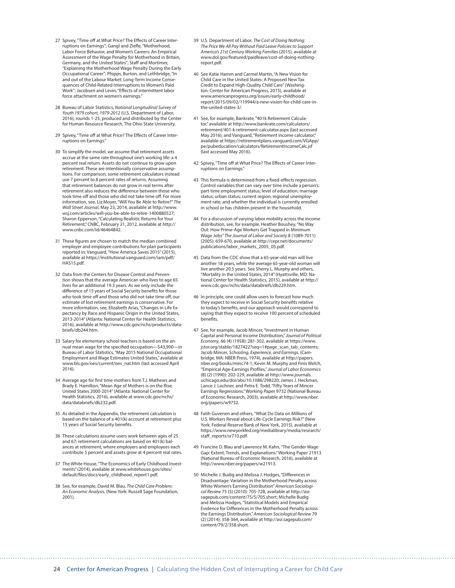- 27 Spivey, "Time off at What Price? The Effects of Career Interruptions on Earnings"; Gangl and Ziefle, "Motherhood, Labor Force Behavior, and Women's Careers: An Empirical Assessment of the Wage Penalty for Motherhood in Britain, Germany, and the United States"; Staff and Mortimer, "Explaining the Motherhood Wage Penalty During the Early Occupational Career"; Phipps, Burton, and Lethbridge, "In and out of the Labour Market: Long-Term Income Consequences of Child-Related Interruptions to Women's Paid Work"; Jacobsen and Levin, "Effects of intermittent labor force attachment on women's earnings."
- 28 Bureau of Labor Statistics, *National Longitudinal Survey of Youth 1979 cohort, 1979-2012* (U.S. Department of Labor, 2016), rounds 1-25, produced and distributed by the Center for Human Resource Research, The Ohio State University.
- 29 Spivey, "Time off at What Price? The Effects of Career Interruptions on Earnings."
- 30 To simplify the model, we assume that retirement assets accrue at the same rate throughout one's working life: a 4 percent real return. Assets do not continue to grow upon retirement. These are intentionally conservative assumptions. For comparison, some retirement calculators instead use 7 percent to 8 percent rates of returns. Assuming that retirement balances do not grow in real terms after retirement also reduces the difference between those who took time off and those who did not take time off. For more information, see, Liz Moyer, "Will You Be Able to Retire?" *The Wall Street Journal*, May 23, 2014, available at [http://www.](http://www.wsj.com/articles/will-you-be-able-to-retire-1400880527) [wsj.com/articles/will-you-be-able-to-retire-1400880527;](http://www.wsj.com/articles/will-you-be-able-to-retire-1400880527) Sharon Epperson, "Calculating Realistic Returns for Your Retirement," CNBC, February 21, 2012, available at [http://](http://www.cnbc.com/id/46464842) [www.cnbc.com/id/46464842](http://www.cnbc.com/id/46464842).
- 31 These figures are chosen to match the median combined employer and employee contributions for plan participants reported in: Vanguard, "How America Saves 2015" (2015), available at [https://institutional.vanguard.com/iam/pdf/](https://institutional.vanguard.com/iam/pdf/HAS15.pdf) [HAS15.pdf](https://institutional.vanguard.com/iam/pdf/HAS15.pdf).
- 32 Data from the Centers for Disease Control and Prevention shows that the average American who lives to age 65 lives for an additional 19.3 years. As we only include the difference of 15 years of Social Security benefits for those who took time off and those who did not take time off, our estimate of lost retirement earnings is conservative. For more information, see, Elizabeth Arias, "Changes in Life Expectancy by Race and Hispanic Origin in the United States, 2013-2014" (Atlanta: National Center for Health Statistics, 2016), available at [http://www.cdc.gov/nchs/products/data](http://www.cdc.gov/nchs/products/databriefs/db244.htm)[briefs/db244.htm](http://www.cdc.gov/nchs/products/databriefs/db244.htm).
- 33 Salary for elementary school teachers is based on the annual mean wage for the specified occupation—\$43,900—in Bureau of Labor Statistics, "May 2015 National Occupational Employment and Wage Estimates United States," available at [www.bls.gov/oes/current/oes\\_nat.htm](http://www.bls.gov/oes/current/oes_nat.htm) (last accessed April 2016).
- 34 Average age for first time mothers from T.J. Mathews and Brady E. Hamilton, "Mean Age of Mothers is on the Rise, United States 2000-2014" (Atlanta: National Center for Health Statistics, 2016), available at [www.cdc.gov/nchs/](http://www.cdc.gov/nchs/data/databriefs/db232.pdf) [data/databriefs/db232.pdf](http://www.cdc.gov/nchs/data/databriefs/db232.pdf).
- 35 As detailed in the Appendix, the retirement calculation is based on the balance of a 401(k) account at retirement plus 15 years of Social Security benefits.
- 36 These calculations assume users work between ages of 25 and 67; retirement calculations are based on 401(k) balances at retirement, where employers and employees each contribute 5 percent and assets grow at 4 percent real rates.
- 37 The White House, "The Economics of Early Childhood Investments" (2014), available at [www.whitehouse.gov/sites/](http://www.whitehouse.gov/sites/default/files/docs/early_childhood_report1.pdf) [default/files/docs/early\\_childhood\\_report1.pdf](http://www.whitehouse.gov/sites/default/files/docs/early_childhood_report1.pdf).
- 38 See, for example, David M. Blau, *The Child Care Problem: An Economic Analysis,* (New York: Russell Sage Foundation, 2001).
- 39 U.S. Department of Labor, *The Cost of Doing Nothing: The Price We All Pay Without Paid Leave Policies to Support America's 21st Century Working Families* (2015), available at [www.dol.gov/featured/paidleave/cost-of-doing-nothing](http://www.dol.gov/featured/paidleave/cost-of-doing-nothing-report.pdf)[report.pdf.](http://www.dol.gov/featured/paidleave/cost-of-doing-nothing-report.pdf)
- 40 See Katie Hamm and Carmel Martin, "A New Vision for Child Care in the United States: A Proposed New Tax Credit to Expand High-Quality Child Care" (Washington: Center for American Progress, 2015), available at [www.americanprogress.org/issues/early-childhood/](http://www.americanprogress.org/issues/early-childhood/report/2015/09/02/119944/a-new-vision-for-child-care-in-the-united-states-3/) [report/2015/09/02/119944/a-new-vision-for-child-care-in](http://www.americanprogress.org/issues/early-childhood/report/2015/09/02/119944/a-new-vision-for-child-care-in-the-united-states-3/)[the-united-states-3/.](http://www.americanprogress.org/issues/early-childhood/report/2015/09/02/119944/a-new-vision-for-child-care-in-the-united-states-3/)
- 41 See, for example, Bankrate, "401k Retirement Calculator," available at [http://www.bankrate.com/calculators/](http://www.bankrate.com/calculators/retirement/401-k-retirement-calculator.aspx) [retirement/401-k-retirement-calculator.aspx](http://www.bankrate.com/calculators/retirement/401-k-retirement-calculator.aspx) (last accessed May 2016); and Vanguard, "Retirement income calculator," available at [https://retirementplans.vanguard.com/VGApp/](https://retirementplans.vanguard.com/VGApp/pe/pubeducation/calculators/RetirementIncomeCalc.jsf) [pe/pubeducation/calculators/RetirementIncomeCalc.jsf](https://retirementplans.vanguard.com/VGApp/pe/pubeducation/calculators/RetirementIncomeCalc.jsf) (last accessed May 2016).
- 42 Spivey, "Time off at What Price? The Effects of Career Interruptions on Earnings."
- 43 This formula is determined from a fixed-effects regression. Control variables that can vary over time include a person's: part-time employment status; level of education; marriage status; urban status; current region; regional unemployment rate; and whether the individual is currently enrolled in school or has children present in the household.
- 44 For a discussion of varying labor mobility across the income distribution, see, for example, Heather Boushey, "No Way Out: How Prime-Age Workers Get Trapped in Minimum Wage Jobs" *The Journal of Labor and Society* 8 (1089-7011) (2005): 659-670, available at [http://cepr.net/documents/](http://cepr.net/documents/publications/labor_markets_2005_05.pdf) [publications/labor\\_markets\\_2005\\_05.pdf.](http://cepr.net/documents/publications/labor_markets_2005_05.pdf)
- 45 Data from the CDC show that a 65-year-old man will live another 18 years, while the average 65-year-old woman will live another 20.5 years. See Sherry L. Murphy and others, "Mortality in the United States, 2014" (Hyattsville, MD: National Center for Health Statistics, 2015), available at [http://](http://www.cdc.gov/nchs/data/databriefs/db229.htm) [www.cdc.gov/nchs/data/databriefs/db229.htm.](http://www.cdc.gov/nchs/data/databriefs/db229.htm)
- 46 In principle, one could allow users to forecast how much they expect to receive in Social Security benefits relative to today's benefits, and our approach would correspond to saying that they expect to receive 100 percent of scheduled benefits.
- 47 See, for example, Jacob Mincer, "Investment in Human Capital and Personal Income Distribution," *Journal of Political Economy*, 66 (4) (1958): 281-302, available at https://www. jstor.org/stable/1827422?seq=1#page\_scan\_tab\_contents; Jacob Mincer, *Schooling, Experience, and Earnings*, (Cambridge, MA: NBER Press, 1974), available at [http://papers.](http://papers.nber.org/books/minc74-1) [nber.org/books/minc74-1;](http://papers.nber.org/books/minc74-1) Kevin M. Murphy and Finis Welch, "Empirical Age-Earnings Profiles," *Journal of Labor Economics* (8) (2) (1990): 202-229, available at [http://www.journals.](http://www.journals.uchicago.edu/doi/abs/10.1086/298220) [uchicago.edu/doi/abs/10.1086/298220](http://www.journals.uchicago.edu/doi/abs/10.1086/298220); James J. Heckman, Lance J. Lochner, and Petra E. Todd, "Fifty Years of Mincer Earnings Regressions." Working Paper 9732 (National Bureau of Economic Research, 2003), available at [http://www.nber.](http://www.nber.org/papers/w9732) [org/papers/w9732.](http://www.nber.org/papers/w9732)
- 48 Fatih Guvenen and others, "What Do Data on Millions of U.S. Workers Reveal about Life-Cycle Earnings Risk?" (New York: Federal Reserve Bank of New York, 2015), available at [https://www.newyorkfed.org/medialibrary/media/research/](https://www.newyorkfed.org/medialibrary/media/research/staff_reports/sr710.pdf) [staff\\_reports/sr710.pdf](https://www.newyorkfed.org/medialibrary/media/research/staff_reports/sr710.pdf).
- 49 Francine D. Blau and Lawrence M. Kahn, "The Gender Wage Gap: Extent, Trends, and Explanations." Working Paper 21913 (National Bureau of Economic Research, 2016), available at [http://www.nber.org/papers/w21913.](http://www.nber.org/papers/w21913)
- 50 Michelle J. Budig and Melissa J. Hodges, "Differences in Disadvantage: Variation in the Motherhood Penalty across White Women's Earning Distribution" *American Sociological Review* 75 (5) (2010): 705-728, available at [http://asr.](http://asr.sagepub.com/content/75/5/705.short) [sagepub.com/content/75/5/705.short](http://asr.sagepub.com/content/75/5/705.short); Michelle Budig and Melissa Hodges, "Statistical Models and Empirical Evidence for Differences in the Motherhood Penalty across the Earnings Distribution," *American Sociological Review* 79 (2) (2014): 358-364, available at [http://asr.sagepub.com/](http://asr.sagepub.com/content/79/2/358.short) [content/79/2/358.short.](http://asr.sagepub.com/content/79/2/358.short)